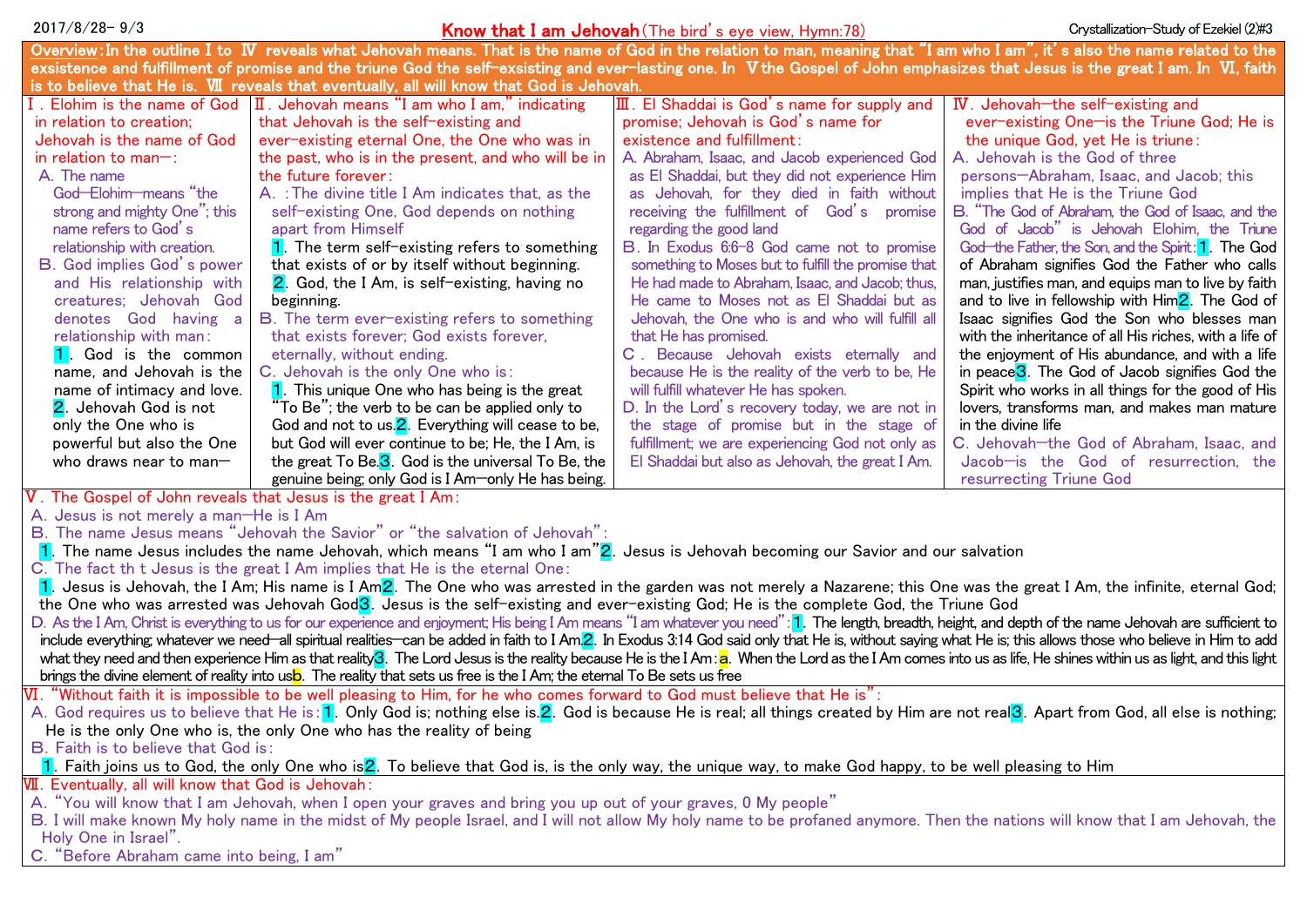| $2017/8/28 - 9/3$                                                                                                                                                                                                                                                          |                                                                                                                                                                             | <b>Know that I am Jehovah</b> (The bird's eye view, Hymn:78)                                        | Crystallization-Study of Ezekiel (2)#3                                             |
|----------------------------------------------------------------------------------------------------------------------------------------------------------------------------------------------------------------------------------------------------------------------------|-----------------------------------------------------------------------------------------------------------------------------------------------------------------------------|-----------------------------------------------------------------------------------------------------|------------------------------------------------------------------------------------|
|                                                                                                                                                                                                                                                                            | Overview: In the outline I to W reveals what Jehovah means. That is the name of God in the relation to man, meaning that "I am who I am", it's also the name related to the |                                                                                                     |                                                                                    |
| exsistence and fulfillment of promise and the triune God the self-exsisting and ever-lasting one. In V the Gospel of John emphasizes that Jesus is the great I am. In VI, faith                                                                                            |                                                                                                                                                                             |                                                                                                     |                                                                                    |
| is to believe that He is. WI reveals that eventually, all will know that God is Jehovah.                                                                                                                                                                                   |                                                                                                                                                                             |                                                                                                     |                                                                                    |
|                                                                                                                                                                                                                                                                            | I. Elohim is the name of God $\left  \Pi \right $ . Jehovah means "I am who I am," indicating                                                                               | Ⅲ. El Shaddai is God's name for supply and                                                          | IV. Jehovah-the self-existing and                                                  |
| in relation to creation;                                                                                                                                                                                                                                                   | that Jehovah is the self-existing and                                                                                                                                       | promise; Jehovah is God's name for                                                                  | ever-existing One-is the Triune God; He is                                         |
| Jehovah is the name of God                                                                                                                                                                                                                                                 | ever-existing eternal One, the One who was in                                                                                                                               | existence and fulfillment:                                                                          | the unique God, yet He is triune:                                                  |
| in relation to man-:                                                                                                                                                                                                                                                       | the past, who is in the present, and who will be in                                                                                                                         | A. Abraham, Isaac, and Jacob experienced God                                                        | A. Jehovah is the God of three                                                     |
| A. The name                                                                                                                                                                                                                                                                | the future forever:                                                                                                                                                         | as El Shaddai, but they did not experience Him                                                      | persons-Abraham, Isaac, and Jacob; this                                            |
| God-Elohim-means "the                                                                                                                                                                                                                                                      | A. : The divine title I Am indicates that, as the                                                                                                                           | as Jehovah, for they died in faith without                                                          | implies that He is the Triune God                                                  |
| strong and mighty One"; this                                                                                                                                                                                                                                               | self-existing One, God depends on nothing                                                                                                                                   | receiving the fulfillment of God's promise                                                          | B. "The God of Abraham, the God of Isaac, and the                                  |
| name refers to God's                                                                                                                                                                                                                                                       | apart from Himself                                                                                                                                                          | regarding the good land                                                                             | God of Jacob" is Jehovah Elohim, the Triune                                        |
| relationship with creation.                                                                                                                                                                                                                                                | 1. The term self-existing refers to something                                                                                                                               | B. In Exodus 6:6-8 God came not to promise                                                          | God the Father, the Son, and the Spirit: <b>1</b> . The God                        |
| <b>B.</b> God implies God's power                                                                                                                                                                                                                                          | that exists of or by itself without beginning.                                                                                                                              | something to Moses but to fulfill the promise that                                                  | of Abraham signifies God the Father who calls                                      |
| and His relationship with                                                                                                                                                                                                                                                  | 2. God, the I Am, is self-existing, having no                                                                                                                               | He had made to Abraham, Isaac, and Jacob; thus,                                                     | man, justifies man, and equips man to live by faith                                |
| creatures; Jehovah God                                                                                                                                                                                                                                                     | beginning.                                                                                                                                                                  | He came to Moses not as El Shaddai but as                                                           | and to live in fellowship with $\text{Him}2$ . The God of                          |
| denotes God having a                                                                                                                                                                                                                                                       | B. The term ever-existing refers to something                                                                                                                               | Jehovah, the One who is and who will fulfill all                                                    | Isaac signifies God the Son who blesses man                                        |
| relationship with man:                                                                                                                                                                                                                                                     | that exists forever; God exists forever,                                                                                                                                    | that He has promised.                                                                               | with the inheritance of all His riches, with a life of                             |
| 1. God is the common                                                                                                                                                                                                                                                       | eternally, without ending.                                                                                                                                                  | C. Because Jehovah exists eternally and                                                             | the enjoyment of His abundance, and with a life                                    |
| name, and Jehovah is the                                                                                                                                                                                                                                                   | C. Jehovah is the only One who is:                                                                                                                                          | because He is the reality of the verb to be, He                                                     | in peace <sup>3</sup> . The God of Jacob signifies God the                         |
| name of intimacy and love.                                                                                                                                                                                                                                                 | 1. This unique One who has being is the great                                                                                                                               | will fulfill whatever He has spoken.                                                                | Spirit who works in all things for the good of His                                 |
| 2. Jehovah God is not<br>only the One who is                                                                                                                                                                                                                               | 'To Be"; the verb to be can be applied only to                                                                                                                              | D. In the Lord's recovery today, we are not in                                                      | lovers, transforms man, and makes man mature                                       |
|                                                                                                                                                                                                                                                                            | God and not to us. <sup>2</sup> . Everything will cease to be,                                                                                                              | the stage of promise but in the stage of                                                            | in the divine life                                                                 |
| powerful but also the One<br>who draws near to man $-$                                                                                                                                                                                                                     | but God will ever continue to be; He, the I Am, is<br>the great To Be. $\overline{\mathbf{3}}$ . God is the universal To Be, the                                            | fulfillment; we are experiencing God not only as<br>El Shaddai but also as Jehovah, the great I Am. | C. Jehovah-the God of Abraham, Isaac, and<br>Jacob-is the God of resurrection, the |
|                                                                                                                                                                                                                                                                            | genuine being; only God is I Am-only He has being.                                                                                                                          |                                                                                                     | resurrecting Triune God                                                            |
| V. The Gospel of John reveals that Jesus is the great I Am:                                                                                                                                                                                                                |                                                                                                                                                                             |                                                                                                     |                                                                                    |
| A. Jesus is not merely a man-He is I Am                                                                                                                                                                                                                                    |                                                                                                                                                                             |                                                                                                     |                                                                                    |
| B. The name Jesus means "Jehovah the Savior" or "the salvation of Jehovah":                                                                                                                                                                                                |                                                                                                                                                                             |                                                                                                     |                                                                                    |
| 1. The name Jesus includes the name Jehovah, which means "I am who I am"2. Jesus is Jehovah becoming our Savior and our salvation                                                                                                                                          |                                                                                                                                                                             |                                                                                                     |                                                                                    |
| C. The fact th t Jesus is the great I Am implies that He is the eternal One:                                                                                                                                                                                               |                                                                                                                                                                             |                                                                                                     |                                                                                    |
| 1. Jesus is Jehovah, the I Am; His name is I Am2. The One who was arrested in the garden was not merely a Nazarene; this One was the great I Am, the infinite, eternal God;                                                                                                |                                                                                                                                                                             |                                                                                                     |                                                                                    |
| the One who was arrested was Jehovah God <sup>3</sup> . Jesus is the self-existing and ever-existing God; He is the complete God, the Triune God                                                                                                                           |                                                                                                                                                                             |                                                                                                     |                                                                                    |
| D. As the I Am, Christ is everything to us for our experience and enjoyment; His being I Am means "I am whatever you need": 1. The length, breadth, height, and depth of the name Jehovah are sufficient to                                                                |                                                                                                                                                                             |                                                                                                     |                                                                                    |
| include everything, whatever we need—all spiritual realities—can be added in faith to I Am.2. In Exodus 3:14 God said only that He is, without saying what He is; this allows those who believe in Him to add                                                              |                                                                                                                                                                             |                                                                                                     |                                                                                    |
| what they need and then experience Him as that reality <sup>3</sup> . The Lord Jesus is the reality because He is the I Am: a. When the Lord as the I Am comes into us as life, He shines within us as light, and this light                                               |                                                                                                                                                                             |                                                                                                     |                                                                                    |
| brings the divine element of reality into usb. The reality that sets us free is the I Am; the eternal To Be sets us free                                                                                                                                                   |                                                                                                                                                                             |                                                                                                     |                                                                                    |
| $\rm W\!I.$ "Without faith it is impossible to be well pleasing to Him, for he who comes forward to $\rm God$ must believe that He is":                                                                                                                                    |                                                                                                                                                                             |                                                                                                     |                                                                                    |
| A. God requires us to believe that He is: 1. Only God is; nothing else is 2. God is because He is real; all things created by Him are not real <sup>3</sup> . Apart from God, all else is nothing;<br>He is the only One who is, the only One who has the reality of being |                                                                                                                                                                             |                                                                                                     |                                                                                    |
| B. Faith is to believe that God is:                                                                                                                                                                                                                                        |                                                                                                                                                                             |                                                                                                     |                                                                                    |
| 1. Faith joins us to God, the only One who is2. To believe that God is, is the only way, the unique way, to make God happy, to be well pleasing to Him                                                                                                                     |                                                                                                                                                                             |                                                                                                     |                                                                                    |
| VII. Eventually, all will know that God is Jehovah:                                                                                                                                                                                                                        |                                                                                                                                                                             |                                                                                                     |                                                                                    |
| A. "You will know that I am Jehovah, when I open your graves and bring you up out of your graves, 0 My people"                                                                                                                                                             |                                                                                                                                                                             |                                                                                                     |                                                                                    |
| B. I will make known My holy name in the midst of My people Israel, and I will not allow My holy name to be profaned anymore. Then the nations will know that I am Jehovah, the                                                                                            |                                                                                                                                                                             |                                                                                                     |                                                                                    |
| Holy One in Israel".                                                                                                                                                                                                                                                       |                                                                                                                                                                             |                                                                                                     |                                                                                    |
| C. "Before Abraham came into being, I am'                                                                                                                                                                                                                                  |                                                                                                                                                                             |                                                                                                     |                                                                                    |
|                                                                                                                                                                                                                                                                            |                                                                                                                                                                             |                                                                                                     |                                                                                    |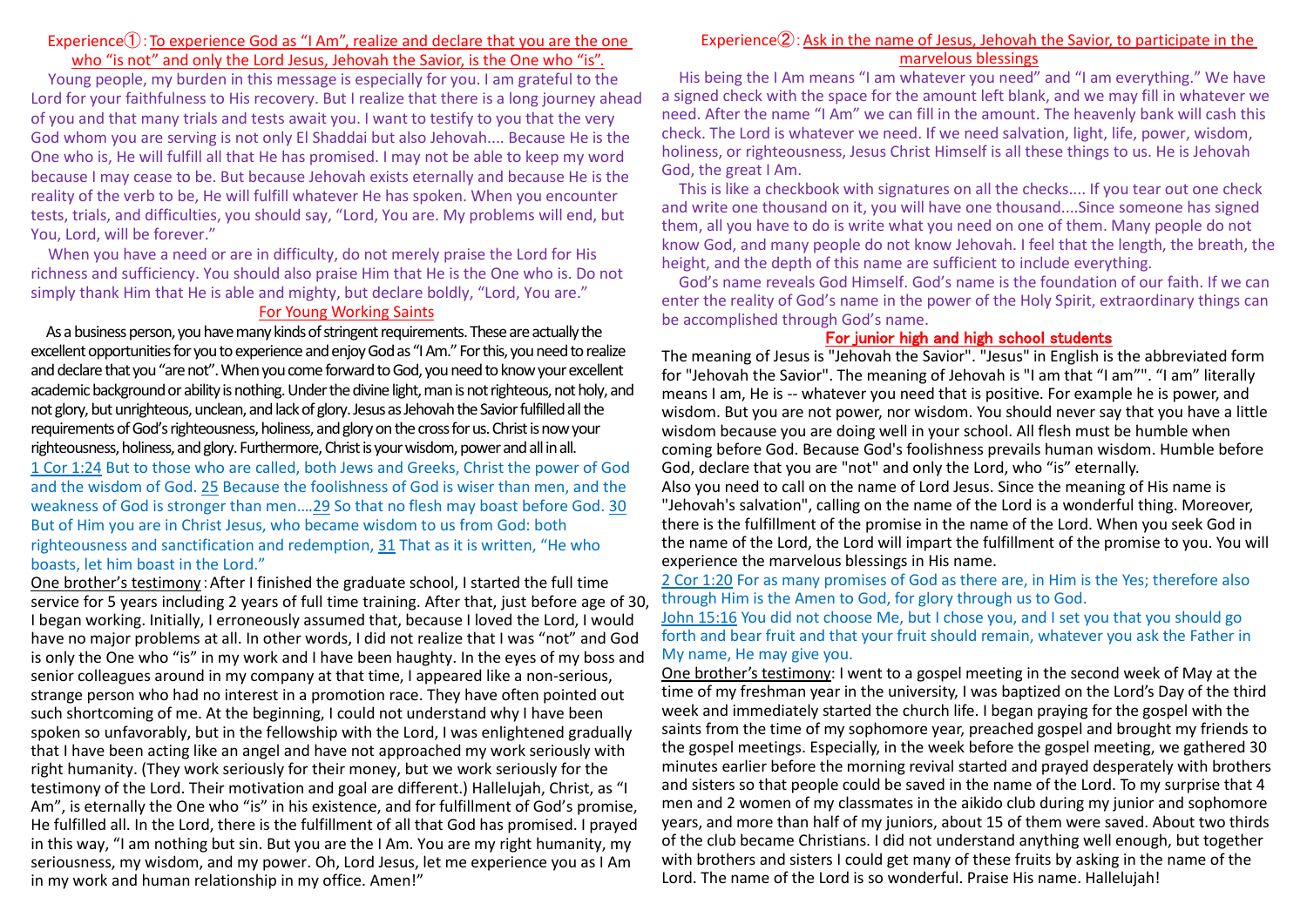#### Experience $\hat{I}$ : To experience God as "I Am", realize and declare that you are the one who "is not" and only the Lord Jesus, Jehovah the Savior, is the One who "is".

Young people, my burden in this message is especially for you. I am grateful to the Lord for your faithfulness to His recovery. But I realize that there is a long journey ahead of you and that many trials and tests await you. I want to testify to you that the very God whom you are serving is not only El Shaddai but also Jehovah.... Because He is the One who is, He will fulfill all that He has promised. I may not be able to keep my word because I may cease to be. But because Jehovah exists eternally and because He is the reality of the verb to be, He will fulfill whatever He has spoken. When you encounter tests, trials, and difficulties, you should say, "Lord, You are. My problems will end, but You, Lord, will be forever."

When you have a need or are in difficulty, do not merely praise the Lord for His richness and sufficiency. You should also praise Him that He is the One who is. Do not simply thank Him that He is able and mighty, but declare boldly, "Lord, You are."

#### For Young Working Saints

As a business person, you have many kinds of stringent requirements. These are actually the excellent opportunities for you to experience and enjoy God as "I Am." For this, you need to realize and declare that you "are not". When you come forward to God, you need to know your excellent academic background or ability is nothing. Under the divine light, man is not righteous, not holy, and not glory, but unrighteous, unclean, and lack of glory. Jesus as Jehovah the Savior fulfilled all the requirements of God's righteousness, holiness, and glory on the cross for us. Christ is now your righteousness, holiness, and glory. Furthermore, Christ is your wisdom, power and all in all. 1 Cor 1:24 But to those who are called, both Jews and Greeks, Christ the power of God and the wisdom of God. 25 Because the foolishness of God is wiser than men, and the weakness of God is stronger than men.…29 So that no flesh may boast before God. 30 But of Him you are in Christ Jesus, who became wisdom to us from God: both righteousness and sanctification and redemption, 31 That as it is written, "He who boasts, let him boast in the Lord."

One brother's testimony:After I finished the graduate school, I started the full time service for 5 years including 2 years of full time training. After that, just before age of 30, I began working. Initially, I erroneously assumed that, because I loved the Lord, I would have no major problems at all. In other words, I did not realize that I was "not" and God is only the One who "is" in my work and I have been haughty. In the eyes of my boss and senior colleagues around in my company at that time, I appeared like a non-serious, strange person who had no interest in a promotion race. They have often pointed out such shortcoming of me. At the beginning, I could not understand why I have been spoken so unfavorably, but in the fellowship with the Lord, I was enlightened gradually that I have been acting like an angel and have not approached my work seriously with right humanity. (They work seriously for their money, but we work seriously for the testimony of the Lord. Their motivation and goal are different.) Hallelujah, Christ, as "I Am", is eternally the One who "is" in his existence, and for fulfillment of God's promise, He fulfilled all. In the Lord, there is the fulfillment of all that God has promised. I prayed in this way, "I am nothing but sin. But you are the I Am. You are my right humanity, my seriousness, my wisdom, and my power. Oh, Lord Jesus, let me experience you as I Am in my work and human relationship in my office. Amen!"

#### Experience $(2)$ : Ask in the name of Jesus, Jehovah the Savior, to participate in the marvelous blessings

His being the I Am means "I am whatever you need" and "I am everything." We have a signed check with the space for the amount left blank, and we may fill in whatever we need. After the name "I Am" we can fill in the amount. The heavenly bank will cash this check. The Lord is whatever we need. If we need salvation, light, life, power, wisdom, holiness, or righteousness, Jesus Christ Himself is all these things to us. He is Jehovah God, the great I Am.

This is like a checkbook with signatures on all the checks.... If you tear out one check and write one thousand on it, you will have one thousand....Since someone has signed them, all you have to do is write what you need on one of them. Many people do not know God, and many people do not know Jehovah. I feel that the length, the breath, the height, and the depth of this name are sufficient to include everything.

God's name reveals God Himself. God's name is the foundation of our faith. If we can enter the reality of God's name in the power of the Holy Spirit, extraordinary things can be accomplished through God's name.

### For junior high and high school students

The meaning of Jesus is "Jehovah the Savior". "Jesus" in English is the abbreviated form for "Jehovah the Savior". The meaning of Jehovah is "I am that "I am"". "I am" literally means I am, He is -- whatever you need that is positive. For example he is power, and wisdom. But you are not power, nor wisdom. You should never say that you have a little wisdom because you are doing well in your school. All flesh must be humble when coming before God. Because God's foolishness prevails human wisdom. Humble before God, declare that you are "not" and only the Lord, who "is" eternally. Also you need to call on the name of Lord Jesus. Since the meaning of His name is "Jehovah's salvation", calling on the name of the Lord is a wonderful thing. Moreover, there is the fulfillment of the promise in the name of the Lord. When you seek God in the name of the Lord, the Lord will impart the fulfillment of the promise to you. You will experience the marvelous blessings in His name.

#### 2 Cor 1:20 For as many promises of God as there are, in Him is the Yes; therefore also through Him is the Amen to God, for glory through us to God.

John 15:16 You did not choose Me, but I chose you, and I set you that you should go forth and bear fruit and that your fruit should remain, whatever you ask the Father in My name, He may give you.

One brother's testimony: I went to a gospel meeting in the second week of May at the time of my freshman year in the university, I was baptized on the Lord's Day of the third week and immediately started the church life. I began praying for the gospel with the saints from the time of my sophomore year, preached gospel and brought my friends to the gospel meetings. Especially, in the week before the gospel meeting, we gathered 30 minutes earlier before the morning revival started and prayed desperately with brothers and sisters so that people could be saved in the name of the Lord. To my surprise that 4 men and 2 women of my classmates in the aikido club during my junior and sophomore years, and more than half of my juniors, about 15 of them were saved. About two thirds of the club became Christians. I did not understand anything well enough, but together with brothers and sisters I could get many of these fruits by asking in the name of the Lord. The name of the Lord is so wonderful. Praise His name. Hallelujah!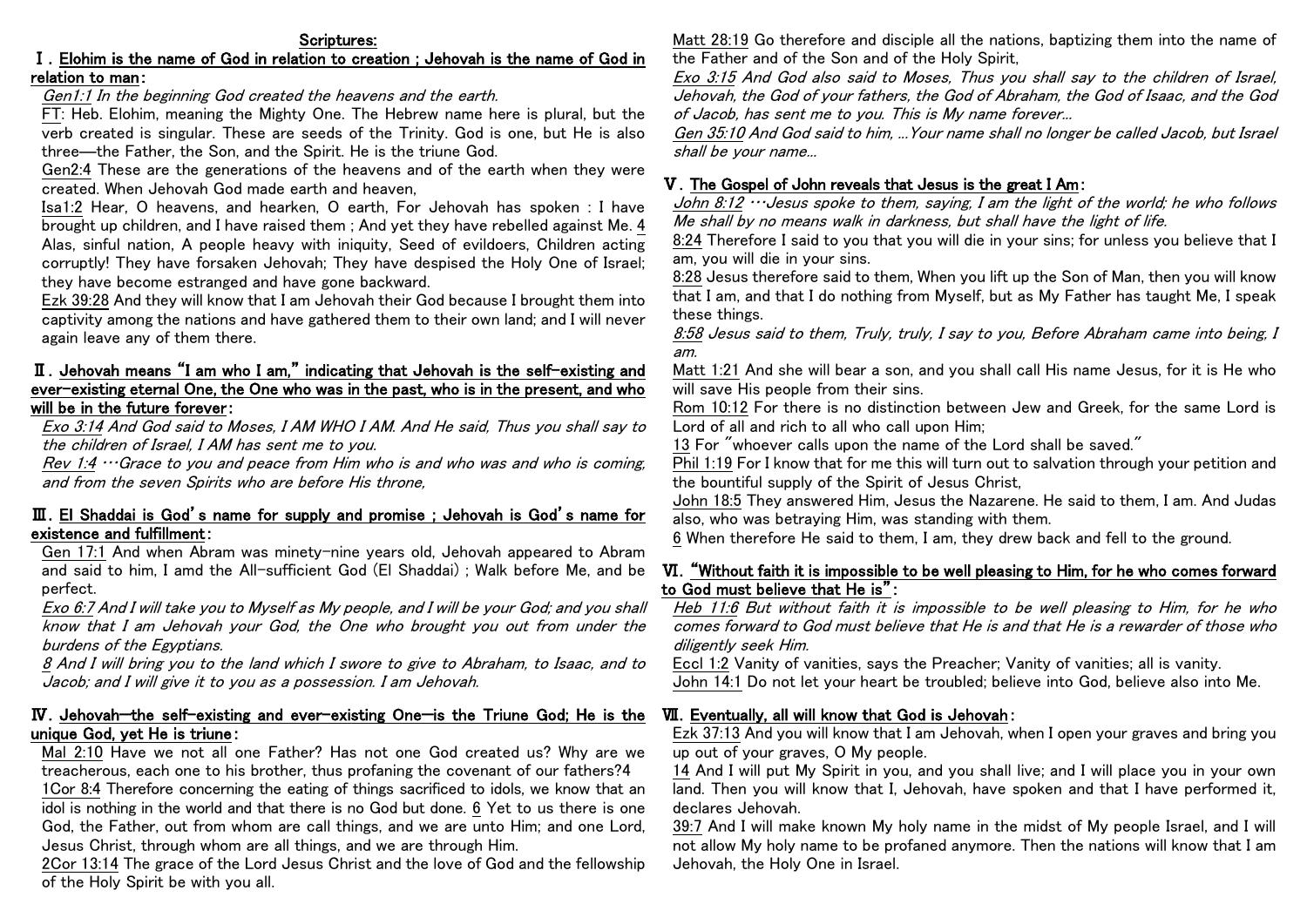### Ⅰ.Elohim is the name of God in relation to creation ; Jehovah is the name of God in relation to man:

Gen1:1 In the beginning God created the heavens and the earth.

FT: Heb. Elohim, meaning the Mighty One. The Hebrew name here is plural, but the verb created is singular. These are seeds of the Trinity. God is one, but He is also three―the Father, the Son, and the Spirit. He is the triune God.

Gen2:4 These are the generations of the heavens and of the earth when they were created. When Jehovah God made earth and heaven,

Isa1:2 Hear, O heavens, and hearken, O earth, For Jehovah has spoken : I have brought up children, and I have raised them ; And yet they have rebelled against Me. 4 Alas, sinful nation, A people heavy with iniquity, Seed of evildoers, Children acting corruptly! They have forsaken Jehovah; They have despised the Holy One of Israel; they have become estranged and have gone backward.

Ezk 39:28 And they will know that I am Jehovah their God because I brought them into captivity among the nations and have gathered them to their own land; and I will never again leave any of them there.

## Ⅱ.Jehovah means "I am who I am," indicating that Jehovah is the self-existing and ever-existing eternal One, the One who was in the past, who is in the present, and who will be in the future forever:

Exo 3:14 And God said to Moses, I AM WHO I AM. And He said, Thus you shall say to the children of Israel, I AM has sent me to you.

Rev 1:4 …Grace to you and peace from Him who is and who was and who is coming, and from the seven Spirits who are before His throne,

## Ⅲ.El Shaddai is God's name for supply and promise ; Jehovah is God's name for existence and fulfillment:

Gen 17:1 And when Abram was minety-nine years old, Jehovah appeared to Abram and said to him, I amd the All-sufficient God (El Shaddai) ; Walk before Me, and be perfect.

Exo 6:7 And I will take you to Myself as My people, and I will be your God; and you shall know that I am Jehovah your God, the One who brought you out from under the burdens of the Egyptians.

8 And I will bring you to the land which I swore to give to Abraham, to Isaac, and to Jacob; and I will give it to you as a possession. I am Jehovah.

## Ⅳ.Jehovah—the self-existing and ever-existing One—is the Triune God; He is the unique God, yet He is triune:

Mal 2:10 Have we not all one Father? Has not one God created us? Why are we treacherous, each one to his brother, thus profaning the covenant of our fathers?4

1Cor 8:4 Therefore concerning the eating of things sacrificed to idols, we know that an idol is nothing in the world and that there is no God but done. 6 Yet to us there is one God, the Father, out from whom are call things, and we are unto Him; and one Lord, Jesus Christ, through whom are all things, and we are through Him.

2Cor 13:14 The grace of the Lord Jesus Christ and the love of God and the fellowship of the Holy Spirit be with you all.

Matt 28:19 Go therefore and disciple all the nations, baptizing them into the name of the Father and of the Son and of the Holy Spirit,

Exo 3:15 And God also said to Moses, Thus you shall say to the children of Israel, Jehovah, the God of your fathers, the God of Abraham, the God of Isaac, and the God of Jacob, has sent me to you. This is My name forever...

Gen 35:10 And God said to him, ...Your name shall no longer be called Jacob, but Israel shall be your name...

# Ⅴ.The Gospel of John reveals that Jesus is the great I Am:

John 8:12  $\cdots$  Jesus spoke to them, saving, I am the light of the world; he who follows Me shall by no means walk in darkness, but shall have the light of life.

8:24 Therefore I said to you that you will die in your sins; for unless you believe that I am, you will die in your sins.

8:28 Jesus therefore said to them, When you lift up the Son of Man, then you will know that I am, and that I do nothing from Myself, but as My Father has taught Me, I speak these things.

8:58 Jesus said to them, Truly, truly, I say to you, Before Abraham came into being, I am.

Matt 1:21 And she will bear a son, and you shall call His name Jesus, for it is He who will save His people from their sins.

Rom 10:12 For there is no distinction between Jew and Greek, for the same Lord is Lord of all and rich to all who call upon Him;

13 For "whoever calls upon the name of the Lord shall be saved."

Phil 1:19 For I know that for me this will turn out to salvation through your petition and the bountiful supply of the Spirit of Jesus Christ,

John 18:5 They answered Him, Jesus the Nazarene. He said to them, I am. And Judas also, who was betraying Him, was standing with them.

6 When therefore He said to them, I am, they drew back and fell to the ground.

## Ⅵ."Without faith it is impossible to be well pleasing to Him, for he who comes forward to God must believe that He is":

Heb 11:6 But without faith it is impossible to be well pleasing to Him, for he who comes forward to God must believe that He is and that He is a rewarder of those who diligently seek Him.

Eccl 1:2 Vanity of vanities, says the Preacher; Vanity of vanities; all is vanity. John 14:1 Do not let your heart be troubled; believe into God, believe also into Me.

# Ⅶ.Eventually, all will know that God is Jehovah:

Ezk 37:13 And you will know that I am Jehovah, when I open your graves and bring you up out of your graves, O My people.

14 And I will put My Spirit in you, and you shall live; and I will place you in your own land. Then you will know that I, Jehovah, have spoken and that I have performed it, declares Jehovah.

39:7 And I will make known My holy name in the midst of My people Israel, and I will not allow My holy name to be profaned anymore. Then the nations will know that I am Jehovah, the Holy One in Israel.